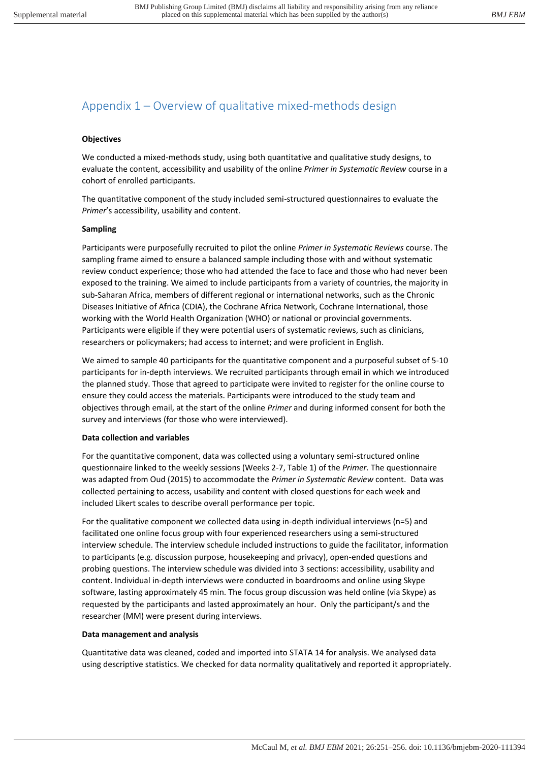# Appendix 1 – Overview of qualitative mixed-methods design

### **Objectives**

We conducted a mixed-methods study, using both quantitative and qualitative study designs, to evaluate the content, accessibility and usability of the online *Primer in Systematic Review* course in a cohort of enrolled participants.

The quantitative component of the study included semi-structured questionnaires to evaluate the *Primer*'s accessibility, usability and content.

#### **Sampling**

Participants were purposefully recruited to pilot the online *Primer in Systematic Reviews* course. The sampling frame aimed to ensure a balanced sample including those with and without systematic review conduct experience; those who had attended the face to face and those who had never been exposed to the training. We aimed to include participants from a variety of countries, the majority in sub-Saharan Africa, members of different regional or international networks, such as the Chronic Diseases Initiative of Africa (CDIA), the Cochrane Africa Network, Cochrane International, those working with the World Health Organization (WHO) or national or provincial governments. Participants were eligible if they were potential users of systematic reviews, such as clinicians, researchers or policymakers; had access to internet; and were proficient in English.

We aimed to sample 40 participants for the quantitative component and a purposeful subset of 5-10 participants for in-depth interviews. We recruited participants through email in which we introduced the planned study. Those that agreed to participate were invited to register for the online course to ensure they could access the materials. Participants were introduced to the study team and objectives through email, at the start of the online *Primer* and during informed consent for both the survey and interviews (for those who were interviewed).

## **Data collection and variables**

For the quantitative component, data was collected using a voluntary semi-structured online questionnaire linked to the weekly sessions (Weeks 2-7, Table 1) of the *Primer.* The questionnaire was adapted from Oud (2015) to accommodate the *Primer in Systematic Review* content. Data was collected pertaining to access, usability and content with closed questions for each week and included Likert scales to describe overall performance per topic.

For the qualitative component we collected data using in-depth individual interviews (n=5) and facilitated one online focus group with four experienced researchers using a semi-structured interview schedule. The interview schedule included instructions to guide the facilitator, information to participants (e.g. discussion purpose, housekeeping and privacy), open-ended questions and probing questions. The interview schedule was divided into 3 sections: accessibility, usability and content. Individual in-depth interviews were conducted in boardrooms and online using Skype software, lasting approximately 45 min. The focus group discussion was held online (via Skype) as requested by the participants and lasted approximately an hour. Only the participant/s and the researcher (MM) were present during interviews.

## **Data management and analysis**

Quantitative data was cleaned, coded and imported into STATA 14 for analysis. We analysed data using descriptive statistics. We checked for data normality qualitatively and reported it appropriately.